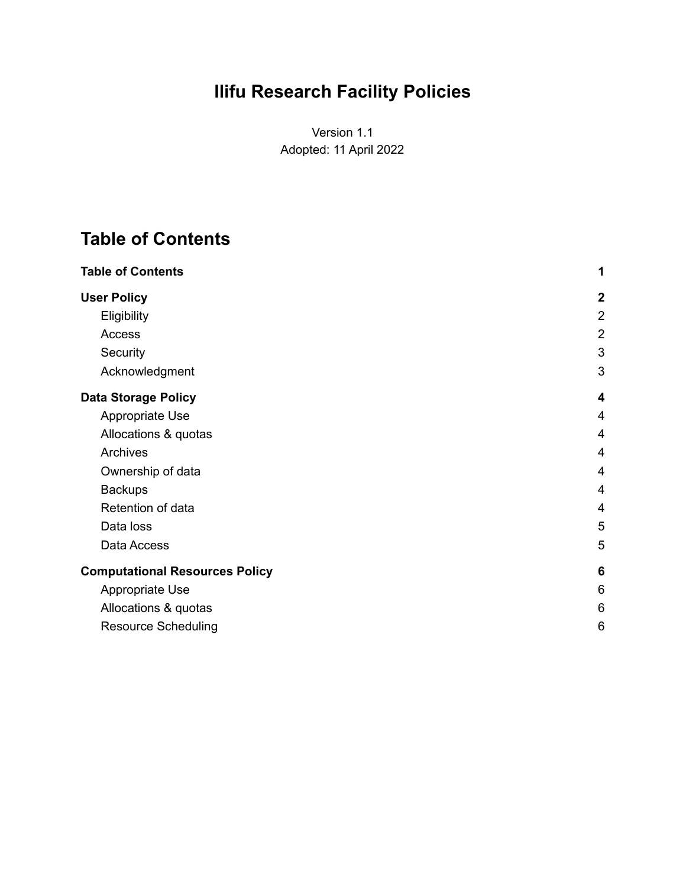# **Ilifu Research Facility Policies**

Version 1.1 Adopted: 11 April 2022

## <span id="page-0-0"></span>**Table of Contents**

| <b>Table of Contents</b>              | 1               |
|---------------------------------------|-----------------|
| <b>User Policy</b>                    | $\mathbf{2}$    |
| Eligibility                           | $\overline{2}$  |
| Access                                | $\overline{2}$  |
| Security                              | 3               |
| Acknowledgment                        | 3               |
| <b>Data Storage Policy</b>            | 4               |
| Appropriate Use                       | $\overline{4}$  |
| Allocations & quotas                  | $\overline{4}$  |
| Archives                              | 4               |
| Ownership of data                     | 4               |
| <b>Backups</b>                        | 4               |
| Retention of data                     | 4               |
| Data loss                             | 5               |
| Data Access                           | 5               |
| <b>Computational Resources Policy</b> | $6\phantom{1}6$ |
| Appropriate Use                       | 6               |
| Allocations & quotas                  | 6               |
| <b>Resource Scheduling</b>            | 6               |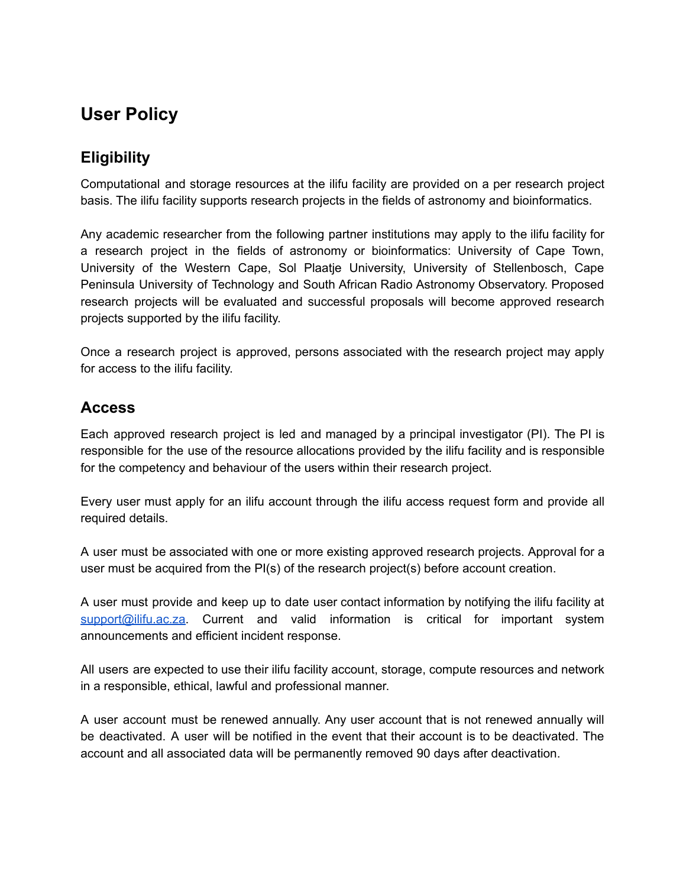## <span id="page-1-0"></span>**User Policy**

### <span id="page-1-1"></span>**Eligibility**

Computational and storage resources at the ilifu facility are provided on a per research project basis. The ilifu facility supports research projects in the fields of astronomy and bioinformatics.

Any academic researcher from the following partner institutions may apply to the ilifu facility for a research project in the fields of astronomy or bioinformatics: University of Cape Town, University of the Western Cape, Sol Plaatje University, University of Stellenbosch, Cape Peninsula University of Technology and South African Radio Astronomy Observatory. Proposed research projects will be evaluated and successful proposals will become approved research projects supported by the ilifu facility.

Once a research project is approved, persons associated with the research project may apply for access to the ilifu facility.

#### <span id="page-1-2"></span>**Access**

Each approved research project is led and managed by a principal investigator (PI). The PI is responsible for the use of the resource allocations provided by the ilifu facility and is responsible for the competency and behaviour of the users within their research project.

Every user must apply for an ilifu account through the ilifu access request form and provide all required details.

A user must be associated with one or more existing approved research projects. Approval for a user must be acquired from the PI(s) of the research project(s) before account creation.

A user must provide and keep up to date user contact information by notifying the ilifu facility at [support@ilifu.ac.za.](mailto:support@ilifu.ac.za) Current and valid information is critical for important system announcements and efficient incident response.

All users are expected to use their ilifu facility account, storage, compute resources and network in a responsible, ethical, lawful and professional manner.

A user account must be renewed annually. Any user account that is not renewed annually will be deactivated. A user will be notified in the event that their account is to be deactivated. The account and all associated data will be permanently removed 90 days after deactivation.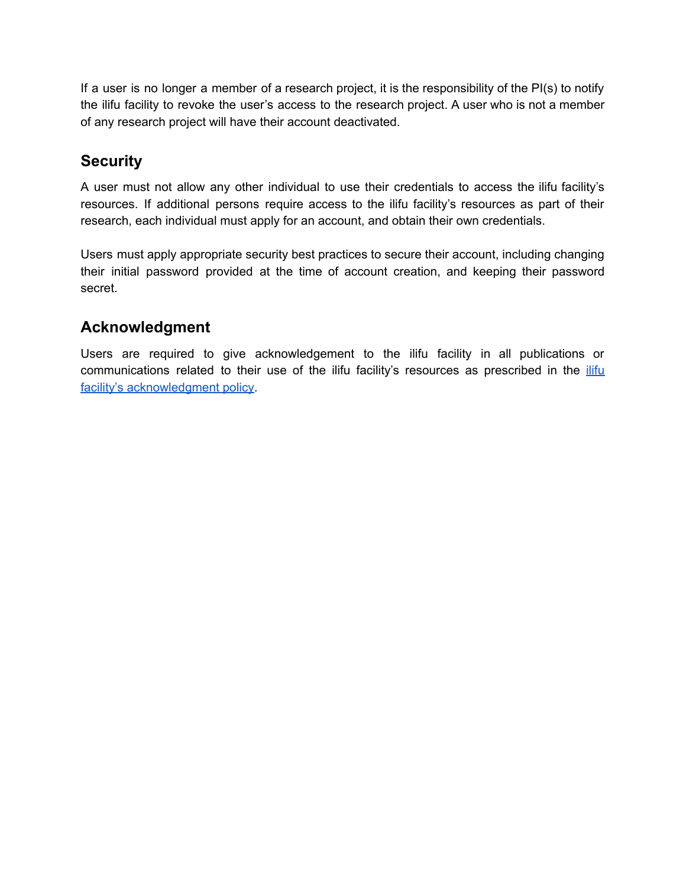If a user is no longer a member of a research project, it is the responsibility of the PI(s) to notify the ilifu facility to revoke the user's access to the research project. A user who is not a member of any research project will have their account deactivated.

### <span id="page-2-0"></span>**Security**

A user must not allow any other individual to use their credentials to access the ilifu facility's resources. If additional persons require access to the ilifu facility's resources as part of their research, each individual must apply for an account, and obtain their own credentials.

Users must apply appropriate security best practices to secure their account, including changing their initial password provided at the time of account creation, and keeping their password secret.

## <span id="page-2-1"></span>**Acknowledgment**

Users are required to give acknowledgement to the ilifu facility in all publications or communications related to their use of the [ilifu](https://docs.google.com/document/d/12-9tlVX7FAmpDRZSIrs6i0xLqdcL7JYZ0TUtZKLsZ-M/edit) facility's resources as prescribed in the *ilifu* facility's [acknowledgment](https://docs.google.com/document/d/12-9tlVX7FAmpDRZSIrs6i0xLqdcL7JYZ0TUtZKLsZ-M/edit) policy.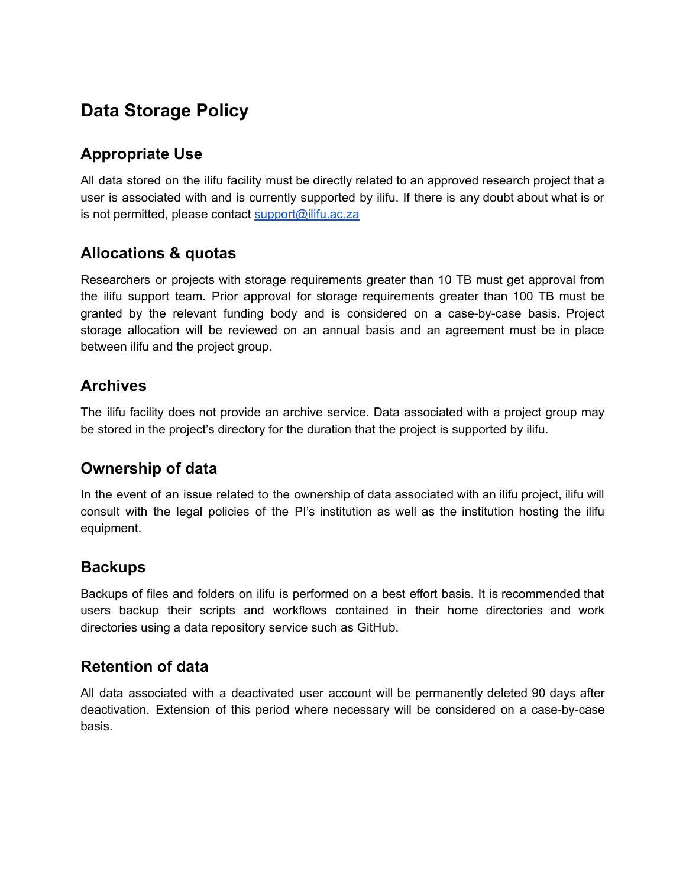## <span id="page-3-0"></span>**Data Storage Policy**

### <span id="page-3-1"></span>**Appropriate Use**

All data stored on the ilifu facility must be directly related to an approved research project that a user is associated with and is currently supported by ilifu. If there is any doubt about what is or is not permitted, please contact [support@ilifu.ac.za](mailto:support@ilifu.ac.za)

#### <span id="page-3-2"></span>**Allocations & quotas**

Researchers or projects with storage requirements greater than 10 TB must get approval from the ilifu support team. Prior approval for storage requirements greater than 100 TB must be granted by the relevant funding body and is considered on a case-by-case basis. Project storage allocation will be reviewed on an annual basis and an agreement must be in place between ilifu and the project group.

#### <span id="page-3-3"></span>**Archives**

The ilifu facility does not provide an archive service. Data associated with a project group may be stored in the project's directory for the duration that the project is supported by ilifu.

#### <span id="page-3-4"></span>**Ownership of data**

In the event of an issue related to the ownership of data associated with an ilifu project, ilifu will consult with the legal policies of the PI's institution as well as the institution hosting the ilifu equipment.

#### <span id="page-3-5"></span>**Backups**

Backups of files and folders on ilifu is performed on a best effort basis. It is recommended that users backup their scripts and workflows contained in their home directories and work directories using a data repository service such as GitHub.

#### <span id="page-3-6"></span>**Retention of data**

All data associated with a deactivated user account will be permanently deleted 90 days after deactivation. Extension of this period where necessary will be considered on a case-by-case basis.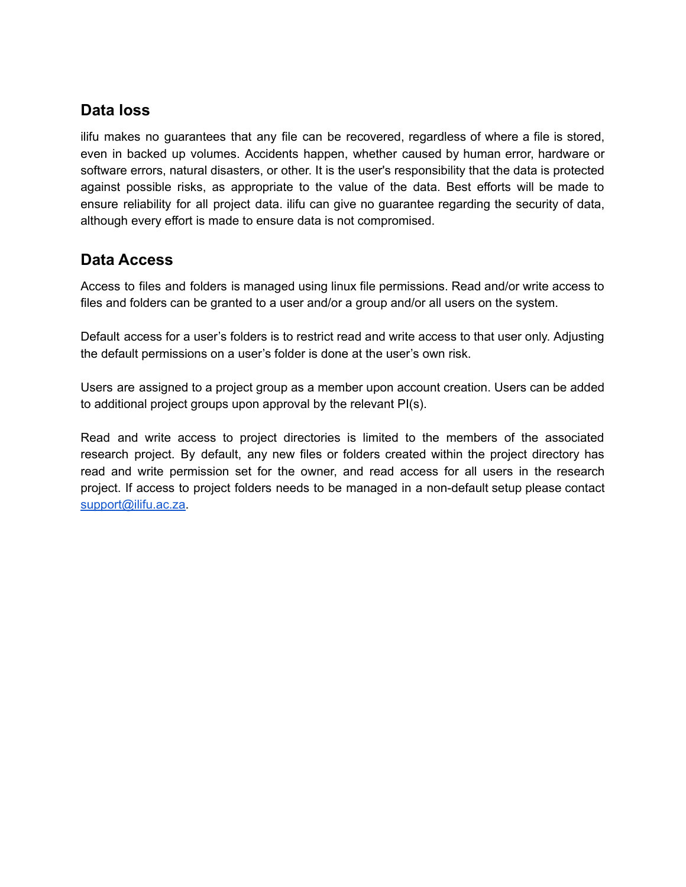#### <span id="page-4-0"></span>**Data loss**

ilifu makes no guarantees that any file can be recovered, regardless of where a file is stored, even in backed up volumes. Accidents happen, whether caused by human error, hardware or software errors, natural disasters, or other. It is the user's responsibility that the data is protected against possible risks, as appropriate to the value of the data. Best efforts will be made to ensure reliability for all project data. ilifu can give no guarantee regarding the security of data, although every effort is made to ensure data is not compromised.

#### <span id="page-4-1"></span>**Data Access**

Access to files and folders is managed using linux file permissions. Read and/or write access to files and folders can be granted to a user and/or a group and/or all users on the system.

Default access for a user's folders is to restrict read and write access to that user only. Adjusting the default permissions on a user's folder is done at the user's own risk.

Users are assigned to a project group as a member upon account creation. Users can be added to additional project groups upon approval by the relevant PI(s).

Read and write access to project directories is limited to the members of the associated research project. By default, any new files or folders created within the project directory has read and write permission set for the owner, and read access for all users in the research project. If access to project folders needs to be managed in a non-default setup please contact [support@ilifu.ac.za.](mailto:support@ilifu.ac.za)